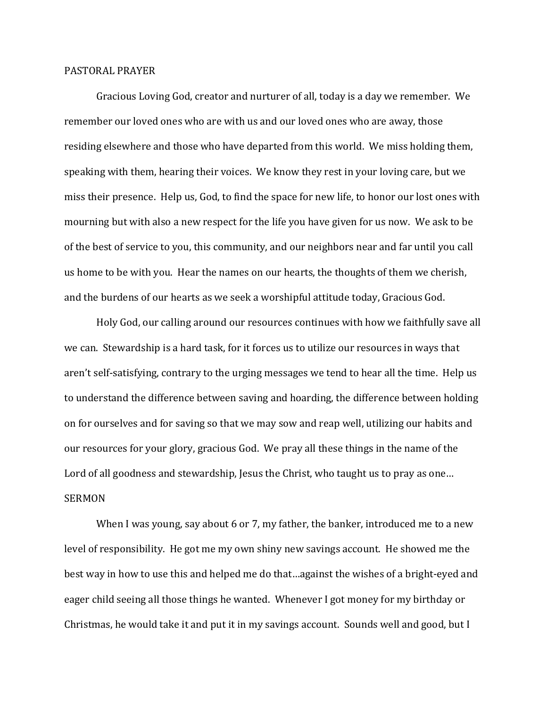## PASTORAL PRAYER

Gracious Loving God, creator and nurturer of all, today is a day we remember. We remember our loved ones who are with us and our loved ones who are away, those residing elsewhere and those who have departed from this world. We miss holding them, speaking with them, hearing their voices. We know they rest in your loving care, but we miss their presence. Help us, God, to find the space for new life, to honor our lost ones with mourning but with also a new respect for the life you have given for us now. We ask to be of the best of service to you, this community, and our neighbors near and far until you call us home to be with you. Hear the names on our hearts, the thoughts of them we cherish, and the burdens of our hearts as we seek a worshipful attitude today, Gracious God.

Holy God, our calling around our resources continues with how we faithfully save all we can. Stewardship is a hard task, for it forces us to utilize our resources in ways that aren't self-satisfying, contrary to the urging messages we tend to hear all the time. Help us to understand the difference between saving and hoarding, the difference between holding on for ourselves and for saving so that we may sow and reap well, utilizing our habits and our resources for your glory, gracious God. We pray all these things in the name of the Lord of all goodness and stewardship, Jesus the Christ, who taught us to pray as one... SERMON

When I was young, say about 6 or 7, my father, the banker, introduced me to a new level of responsibility. He got me my own shiny new savings account. He showed me the best way in how to use this and helped me do that…against the wishes of a bright-eyed and eager child seeing all those things he wanted. Whenever I got money for my birthday or Christmas, he would take it and put it in my savings account. Sounds well and good, but I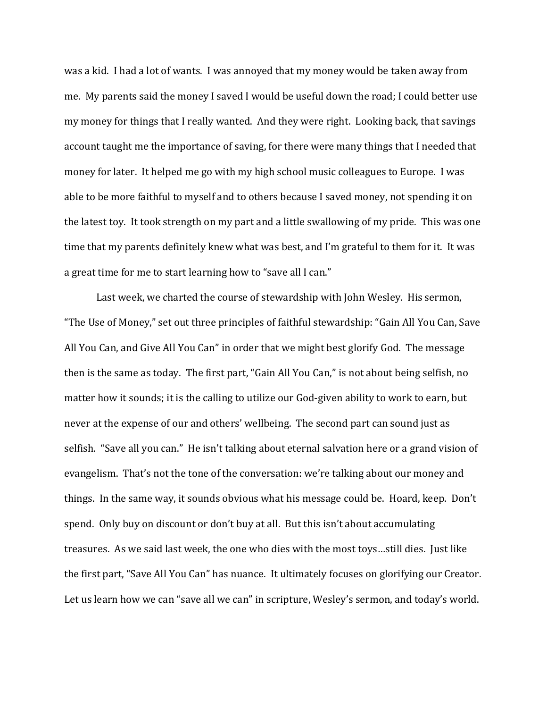was a kid. I had a lot of wants. I was annoyed that my money would be taken away from me. My parents said the money I saved I would be useful down the road; I could better use my money for things that I really wanted. And they were right. Looking back, that savings account taught me the importance of saving, for there were many things that I needed that money for later. It helped me go with my high school music colleagues to Europe. I was able to be more faithful to myself and to others because I saved money, not spending it on the latest toy. It took strength on my part and a little swallowing of my pride. This was one time that my parents definitely knew what was best, and I'm grateful to them for it. It was a great time for me to start learning how to "save all I can."

Last week, we charted the course of stewardship with John Wesley. His sermon, "The Use of Money," set out three principles of faithful stewardship: "Gain All You Can, Save All You Can, and Give All You Can" in order that we might best glorify God. The message then is the same as today. The first part, "Gain All You Can," is not about being selfish, no matter how it sounds; it is the calling to utilize our God-given ability to work to earn, but never at the expense of our and others' wellbeing. The second part can sound just as selfish. "Save all you can." He isn't talking about eternal salvation here or a grand vision of evangelism. That's not the tone of the conversation: we're talking about our money and things. In the same way, it sounds obvious what his message could be. Hoard, keep. Don't spend. Only buy on discount or don't buy at all. But this isn't about accumulating treasures. As we said last week, the one who dies with the most toys…still dies. Just like the first part, "Save All You Can" has nuance. It ultimately focuses on glorifying our Creator. Let us learn how we can "save all we can" in scripture, Wesley's sermon, and today's world.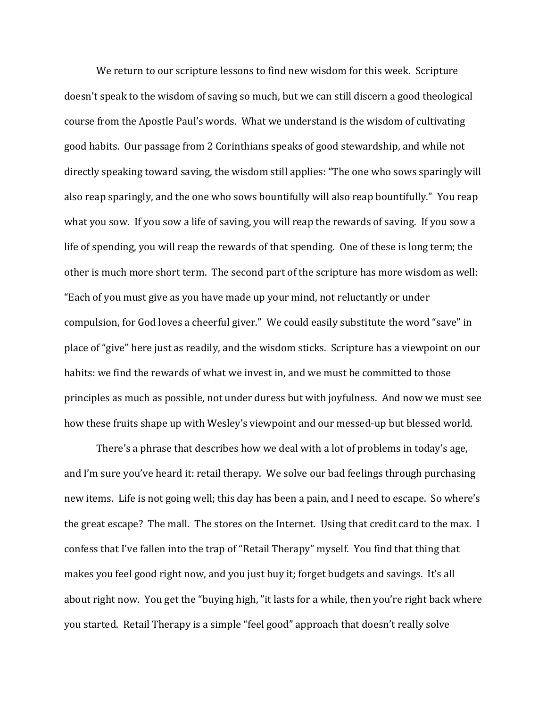We return to our scripture lessons to find new wisdom for this week. Scripture doesn't speak to the wisdom of saving so much, but we can still discern a good theological course from the Apostle Paul's words. What we understand is the wisdom of cultivating good habits. Our passage from 2 Corinthians speaks of good stewardship, and while not directly speaking toward saving, the wisdom still applies: "The one who sows sparingly will also reap sparingly, and the one who sows bountifully will also reap bountifully." You reap what you sow. If you sow a life of saving, you will reap the rewards of saving. If you sow a life of spending, you will reap the rewards of that spending. One of these is long term; the other is much more short term. The second part of the scripture has more wisdom as well: "Each of you must give as you have made up your mind, not reluctantly or under compulsion, for God loves a cheerful giver." We could easily substitute the word "save" in place of "give" here just as readily, and the wisdom sticks. Scripture has a viewpoint on our habits: we find the rewards of what we invest in, and we must be committed to those principles as much as possible, not under duress but with joyfulness. And now we must see how these fruits shape up with Wesley's viewpoint and our messed-up but blessed world.

There's a phrase that describes how we deal with a lot of problems in today's age, and I'm sure you've heard it: retail therapy. We solve our bad feelings through purchasing new items. Life is not going well; this day has been a pain, and I need to escape. So where's the great escape? The mall. The stores on the Internet. Using that credit card to the max. I confess that I've fallen into the trap of "Retail Therapy" myself. You find that thing that makes you feel good right now, and you just buy it; forget budgets and savings. It's all about right now. You get the "buying high, "it lasts for a while, then you're right back where you started. Retail Therapy is a simple "feel good" approach that doesn't really solve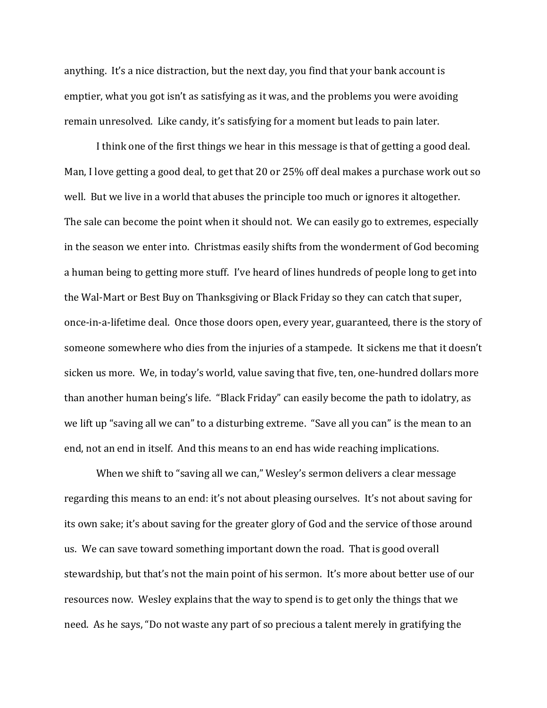anything. It's a nice distraction, but the next day, you find that your bank account is emptier, what you got isn't as satisfying as it was, and the problems you were avoiding remain unresolved. Like candy, it's satisfying for a moment but leads to pain later.

I think one of the first things we hear in this message is that of getting a good deal. Man, I love getting a good deal, to get that 20 or 25% off deal makes a purchase work out so well. But we live in a world that abuses the principle too much or ignores it altogether. The sale can become the point when it should not. We can easily go to extremes, especially in the season we enter into. Christmas easily shifts from the wonderment of God becoming a human being to getting more stuff. I've heard of lines hundreds of people long to get into the Wal-Mart or Best Buy on Thanksgiving or Black Friday so they can catch that super, once-in-a-lifetime deal. Once those doors open, every year, guaranteed, there is the story of someone somewhere who dies from the injuries of a stampede. It sickens me that it doesn't sicken us more. We, in today's world, value saving that five, ten, one-hundred dollars more than another human being's life. "Black Friday" can easily become the path to idolatry, as we lift up "saving all we can" to a disturbing extreme. "Save all you can" is the mean to an end, not an end in itself. And this means to an end has wide reaching implications.

When we shift to "saving all we can," Wesley's sermon delivers a clear message regarding this means to an end: it's not about pleasing ourselves. It's not about saving for its own sake; it's about saving for the greater glory of God and the service of those around us. We can save toward something important down the road. That is good overall stewardship, but that's not the main point of his sermon. It's more about better use of our resources now. Wesley explains that the way to spend is to get only the things that we need. As he says, "Do not waste any part of so precious a talent merely in gratifying the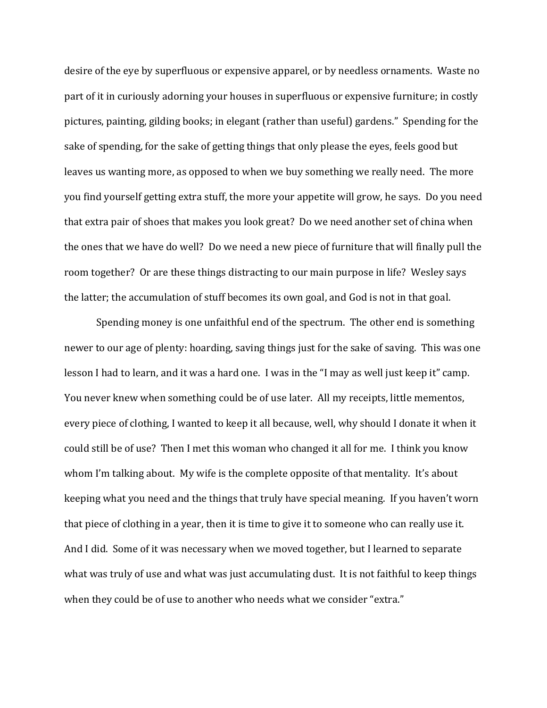desire of the eye by superfluous or expensive apparel, or by needless ornaments. Waste no part of it in curiously adorning your houses in superfluous or expensive furniture; in costly pictures, painting, gilding books; in elegant (rather than useful) gardens." Spending for the sake of spending, for the sake of getting things that only please the eyes, feels good but leaves us wanting more, as opposed to when we buy something we really need. The more you find yourself getting extra stuff, the more your appetite will grow, he says. Do you need that extra pair of shoes that makes you look great? Do we need another set of china when the ones that we have do well? Do we need a new piece of furniture that will finally pull the room together? Or are these things distracting to our main purpose in life? Wesley says the latter; the accumulation of stuff becomes its own goal, and God is not in that goal.

Spending money is one unfaithful end of the spectrum. The other end is something newer to our age of plenty: hoarding, saving things just for the sake of saving. This was one lesson I had to learn, and it was a hard one. I was in the "I may as well just keep it" camp. You never knew when something could be of use later. All my receipts, little mementos, every piece of clothing, I wanted to keep it all because, well, why should I donate it when it could still be of use? Then I met this woman who changed it all for me. I think you know whom I'm talking about. My wife is the complete opposite of that mentality. It's about keeping what you need and the things that truly have special meaning. If you haven't worn that piece of clothing in a year, then it is time to give it to someone who can really use it. And I did. Some of it was necessary when we moved together, but I learned to separate what was truly of use and what was just accumulating dust. It is not faithful to keep things when they could be of use to another who needs what we consider "extra."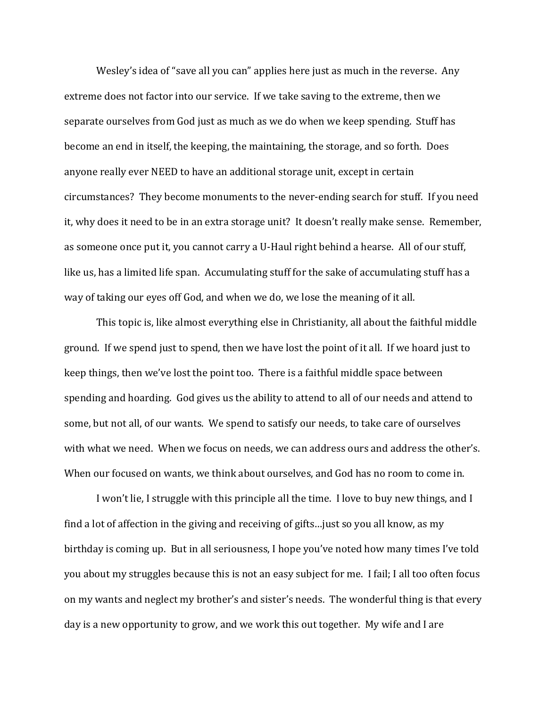Wesley's idea of "save all you can" applies here just as much in the reverse. Any extreme does not factor into our service. If we take saving to the extreme, then we separate ourselves from God just as much as we do when we keep spending. Stuff has become an end in itself, the keeping, the maintaining, the storage, and so forth. Does anyone really ever NEED to have an additional storage unit, except in certain circumstances? They become monuments to the never-ending search for stuff. If you need it, why does it need to be in an extra storage unit? It doesn't really make sense. Remember, as someone once put it, you cannot carry a U-Haul right behind a hearse. All of our stuff, like us, has a limited life span. Accumulating stuff for the sake of accumulating stuff has a way of taking our eyes off God, and when we do, we lose the meaning of it all.

This topic is, like almost everything else in Christianity, all about the faithful middle ground. If we spend just to spend, then we have lost the point of it all. If we hoard just to keep things, then we've lost the point too. There is a faithful middle space between spending and hoarding. God gives us the ability to attend to all of our needs and attend to some, but not all, of our wants. We spend to satisfy our needs, to take care of ourselves with what we need. When we focus on needs, we can address ours and address the other's. When our focused on wants, we think about ourselves, and God has no room to come in.

I won't lie, I struggle with this principle all the time. I love to buy new things, and I find a lot of affection in the giving and receiving of gifts…just so you all know, as my birthday is coming up. But in all seriousness, I hope you've noted how many times I've told you about my struggles because this is not an easy subject for me. I fail; I all too often focus on my wants and neglect my brother's and sister's needs. The wonderful thing is that every day is a new opportunity to grow, and we work this out together. My wife and I are